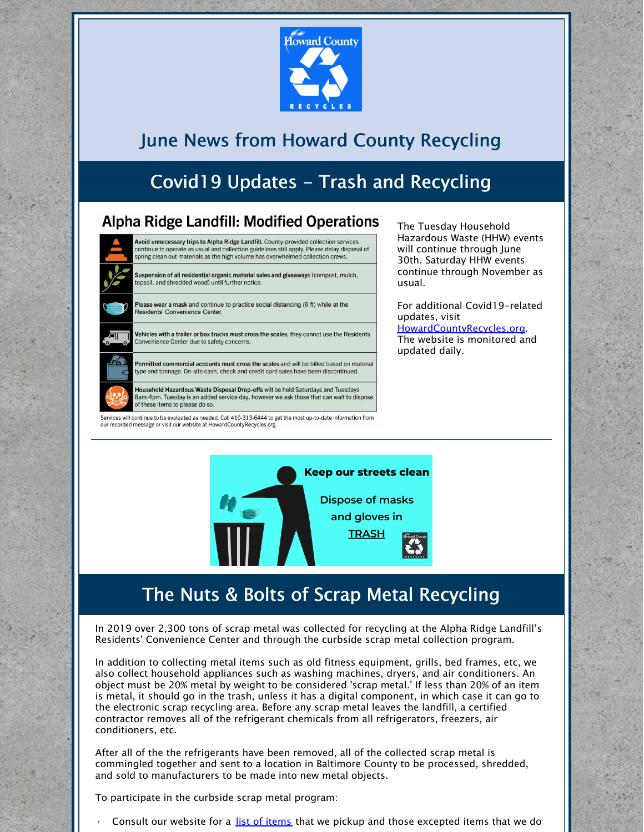

### June News from Howard County Recycling

## Covid19 Updates - Trash and Recycling

#### **Alpha Ridge Landfill: Modified Operations**

Woid unnecessary trips to Alpha Ridge Landfill. County-provided collection services continue to operate as usual and collection guidelines still apply. Please delay disposal of spring clean out materials as the high volume has overwhelmed collection crews.

uspension of all residential organic material sales and giveaways (compost, mulch, topsoil, and shredded wood) until further notice.

Please wear a mask and continue to practice social distancing (6 ft) while at the Residents' Convenience Center.

Vehicles with a trailer or box trucks must cross the scales: they cannot use the Residents Convenience Center due to safety concerns.

Permitted commercial accounts must cross the scales and will be billed based on material type and tonnage. On-site cash, check and credit card sales have been discontinued.

Household Hazardous Waste Disposal Drop-offs will be held Saturdays and Tuesdays .<br>Bam-4pm. Tuesday is an added service day, however we ask those that can wait to dispose of these items to please do so

Services will continue to be evaluated as needed. Call 410-313-6444 to get the most up-to-date information from our recorded message or visit our website at HowardCountyRecycles.org

The Tuesday Household Hazardous Waste (HHW) events will continue through June 30th. Saturday HHW events continue through November as usual.

For additional Covid19-related updates, visit [HowardCountyRecycles.org](http://www.howardcountyrecycles.org/). The website is monitored and updated daily.



### The Nuts & Bolts of Scrap Metal Recycling

In 2019 over 2,300 tons of scrap metal was collected for recycling at the Alpha Ridge Landfill's Residents' Convenience Center and through the curbside scrap metal collection program.

In addition to collecting metal items such as old fitness equipment, grills, bed frames, etc, we also collect household appliances such as washing machines, dryers, and air conditioners. An object must be 20% metal by weight to be considered 'scrap metal.' If less than 20% of an item is metal, it should go in the trash, unless it has a digital component, in which case it can go to the electronic scrap recycling area. Before any scrap metal leaves the landfill, a certified contractor removes all of the refrigerant chemicals from all refrigerators, freezers, air conditioners, etc.

After all of the the refrigerants have been removed, all of the collected scrap metal is commingled together and sent to a location in Baltimore County to be processed, shredded, and sold to manufacturers to be made into new metal objects.

To participate in the curbside scrap metal program:

Consult our website for a list of [items](https://www.howardcountymd.gov/Departments/Public-Works/Bureau-Of-Environmental-Services/Curbside-Collections/Bulk-Items-Scrap-Metal) that we pickup and those excepted items that we do